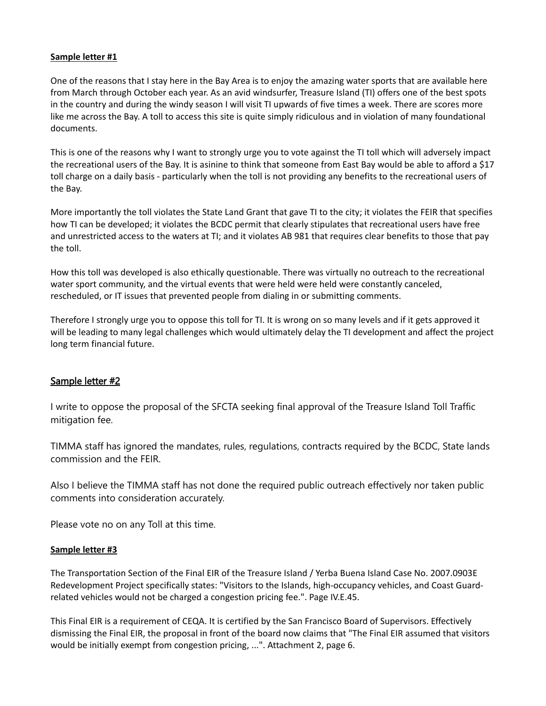## **Sample letter #1**

One of the reasons that I stay here in the Bay Area is to enjoy the amazing water sports that are available here from March through October each year. As an avid windsurfer, Treasure Island (TI) offers one of the best spots in the country and during the windy season I will visit TI upwards of five times a week. There are scores more like me across the Bay. A toll to access this site is quite simply ridiculous and in violation of many foundational documents.

This is one of the reasons why I want to strongly urge you to vote against the TI toll which will adversely impact the recreational users of the Bay. It is asinine to think that someone from East Bay would be able to afford a \$17 toll charge on a daily basis - particularly when the toll is not providing any benefits to the recreational users of the Bay.

More importantly the toll violates the State Land Grant that gave TI to the city; it violates the FEIR that specifies how TI can be developed; it violates the BCDC permit that clearly stipulates that recreational users have free and unrestricted access to the waters at TI; and it violates AB 981 that requires clear benefits to those that pay the toll.

How this toll was developed is also ethically questionable. There was virtually no outreach to the recreational water sport community, and the virtual events that were held were held were constantly canceled, rescheduled, or IT issues that prevented people from dialing in or submitting comments.

Therefore I strongly urge you to oppose this toll for TI. It is wrong on so many levels and if it gets approved it will be leading to many legal challenges which would ultimately delay the TI development and affect the project long term financial future.

## Sample letter #2

I write to oppose the proposal of the SFCTA seeking final approval of the Treasure Island Toll Traffic mitigation fee.

TIMMA staff has ignored the mandates, rules, regulations, contracts required by the BCDC, State lands commission and the FEIR.

Also I believe the TIMMA staff has not done the required public outreach effectively nor taken public comments into consideration accurately.

Please vote no on any Toll at this time.

## **Sample letter #3**

The Transportation Section of the Final EIR of the Treasure Island / Yerba Buena Island Case No. 2007.0903E Redevelopment Project specifically states: "Visitors to the Islands, high-occupancy vehicles, and Coast Guardrelated vehicles would not be charged a congestion pricing fee.". Page IV.E.45.

This Final EIR is a requirement of CEQA. It is certified by the San Francisco Board of Supervisors. Effectively dismissing the Final EIR, the proposal in front of the board now claims that "The Final EIR assumed that visitors would be initially exempt from congestion pricing, ...". Attachment 2, page 6.